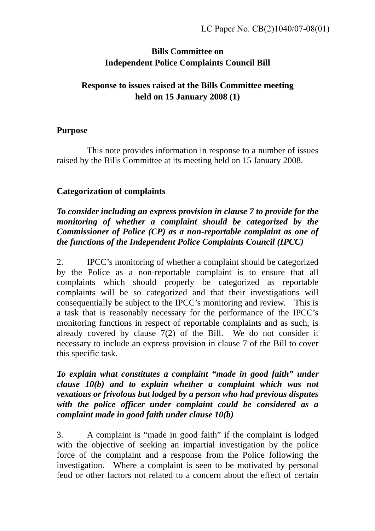# **Bills Committee on Independent Police Complaints Council Bill**

# **Response to issues raised at the Bills Committee meeting held on 15 January 2008 (1)**

### **Purpose**

 This note provides information in response to a number of issues raised by the Bills Committee at its meeting held on 15 January 2008.

### **Categorization of complaints**

### *To consider including an express provision in clause 7 to provide for the monitoring of whether a complaint should be categorized by the Commissioner of Police (CP) as a non-reportable complaint as one of the functions of the Independent Police Complaints Council (IPCC)*

2. IPCC's monitoring of whether a complaint should be categorized by the Police as a non-reportable complaint is to ensure that all complaints which should properly be categorized as reportable complaints will be so categorized and that their investigations will consequentially be subject to the IPCC's monitoring and review. This is a task that is reasonably necessary for the performance of the IPCC's monitoring functions in respect of reportable complaints and as such, is already covered by clause 7(2) of the Bill. We do not consider it necessary to include an express provision in clause 7 of the Bill to cover this specific task.

#### *To explain what constitutes a complaint "made in good faith" under clause 10(b) and to explain whether a complaint which was not vexatious or frivolous but lodged by a person who had previous disputes with the police officer under complaint could be considered as a complaint made in good faith under clause 10(b)*

3. A complaint is "made in good faith" if the complaint is lodged with the objective of seeking an impartial investigation by the police force of the complaint and a response from the Police following the investigation. Where a complaint is seen to be motivated by personal feud or other factors not related to a concern about the effect of certain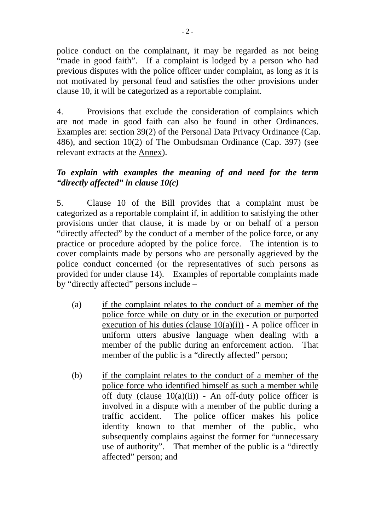police conduct on the complainant, it may be regarded as not being "made in good faith". If a complaint is lodged by a person who had previous disputes with the police officer under complaint, as long as it is not motivated by personal feud and satisfies the other provisions under clause 10, it will be categorized as a reportable complaint.

4. Provisions that exclude the consideration of complaints which are not made in good faith can also be found in other Ordinances. Examples are: section 39(2) of the Personal Data Privacy Ordinance (Cap. 486), and section 10(2) of The Ombudsman Ordinance (Cap. 397) (see relevant extracts at the Annex).

### *To explain with examples the meaning of and need for the term "directly affected" in clause 10(c)*

5. Clause 10 of the Bill provides that a complaint must be categorized as a reportable complaint if, in addition to satisfying the other provisions under that clause, it is made by or on behalf of a person "directly affected" by the conduct of a member of the police force, or any practice or procedure adopted by the police force. The intention is to cover complaints made by persons who are personally aggrieved by the police conduct concerned (or the representatives of such persons as provided for under clause 14). Examples of reportable complaints made by "directly affected" persons include –

- (a) if the complaint relates to the conduct of a member of the police force while on duty or in the execution or purported execution of his duties (clause  $10(a)(i)$ ) - A police officer in uniform utters abusive language when dealing with a member of the public during an enforcement action. That member of the public is a "directly affected" person:
- (b) if the complaint relates to the conduct of a member of the police force who identified himself as such a member while off duty (clause  $10(a)(ii)$ ) - An off-duty police officer is involved in a dispute with a member of the public during a traffic accident. The police officer makes his police identity known to that member of the public, who subsequently complains against the former for "unnecessary use of authority". That member of the public is a "directly affected" person; and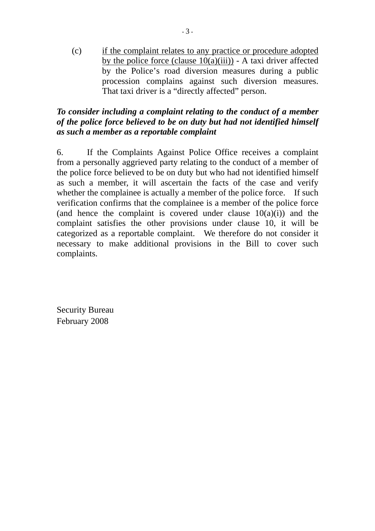(c) if the complaint relates to any practice or procedure adopted by the police force (clause  $10(a)(iii)$ ) - A taxi driver affected by the Police's road diversion measures during a public procession complains against such diversion measures. That taxi driver is a "directly affected" person.

### *To consider including a complaint relating to the conduct of a member of the police force believed to be on duty but had not identified himself as such a member as a reportable complaint*

6. If the Complaints Against Police Office receives a complaint from a personally aggrieved party relating to the conduct of a member of the police force believed to be on duty but who had not identified himself as such a member, it will ascertain the facts of the case and verify whether the complainee is actually a member of the police force. If such verification confirms that the complainee is a member of the police force (and hence the complaint is covered under clause  $10(a)(i)$ ) and the complaint satisfies the other provisions under clause 10, it will be categorized as a reportable complaint. We therefore do not consider it necessary to make additional provisions in the Bill to cover such complaints.

Security Bureau February 2008